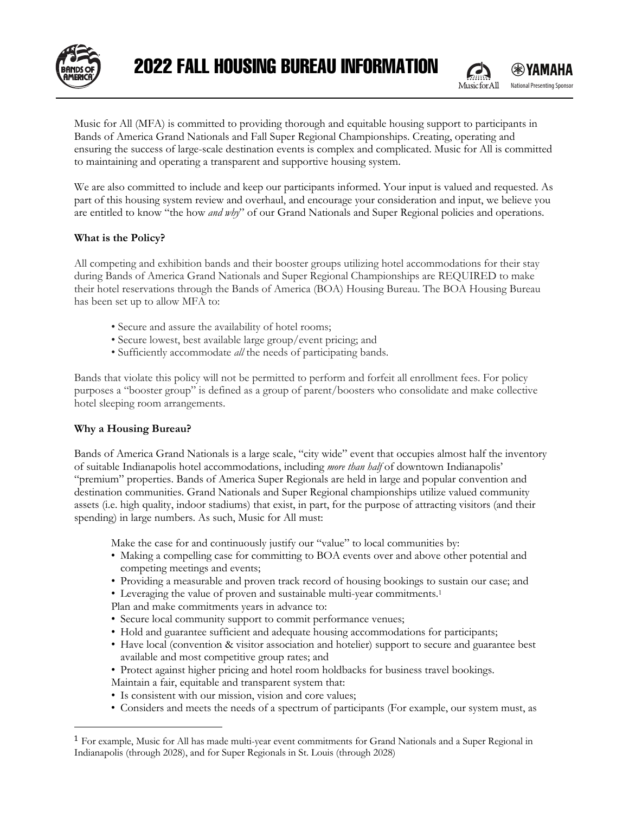

Music for All (MFA) is committed to providing thorough and equitable housing support to participants in Bands of America Grand Nationals and Fall Super Regional Championships. Creating, operating and ensuring the success of large-scale destination events is complex and complicated. Music for All is committed to maintaining and operating a transparent and supportive housing system.

We are also committed to include and keep our participants informed. Your input is valued and requested. As part of this housing system review and overhaul, and encourage your consideration and input, we believe you are entitled to know "the how *and why*" of our Grand Nationals and Super Regional policies and operations.

### **What is the Policy?**

All competing and exhibition bands and their booster groups utilizing hotel accommodations for their stay during Bands of America Grand Nationals and Super Regional Championships are REQUIRED to make their hotel reservations through the Bands of America (BOA) Housing Bureau. The BOA Housing Bureau has been set up to allow MFA to:

- Secure and assure the availability of hotel rooms;
- Secure lowest, best available large group/event pricing; and
- Sufficiently accommodate *all* the needs of participating bands.

Bands that violate this policy will not be permitted to perform and forfeit all enrollment fees. For policy purposes a "booster group" is defined as a group of parent/boosters who consolidate and make collective hotel sleeping room arrangements.

# **Why a Housing Bureau?**

Bands of America Grand Nationals is a large scale, "city wide" event that occupies almost half the inventory of suitable Indianapolis hotel accommodations, including *more than half* of downtown Indianapolis' "premium" properties. Bands of America Super Regionals are held in large and popular convention and destination communities. Grand Nationals and Super Regional championships utilize valued community assets (i.e. high quality, indoor stadiums) that exist, in part, for the purpose of attracting visitors (and their spending) in large numbers. As such, Music for All must:

Make the case for and continuously justify our "value" to local communities by:

- Making a compelling case for committing to BOA events over and above other potential and competing meetings and events;
- Providing a measurable and proven track record of housing bookings to sustain our case; and
- Leveraging the value of proven and sustainable multi-year commitments.1
- Plan and make commitments years in advance to:
- Secure local community support to commit performance venues;
- Hold and guarantee sufficient and adequate housing accommodations for participants;
- Have local (convention & visitor association and hotelier) support to secure and guarantee best available and most competitive group rates; and
- Protect against higher pricing and hotel room holdbacks for business travel bookings. Maintain a fair, equitable and transparent system that:
- Is consistent with our mission, vision and core values;
- Considers and meets the needs of a spectrum of participants (For example, our system must, as

<sup>1</sup> For example, Music for All has made multi-year event commitments for Grand Nationals and a Super Regional in Indianapolis (through 2028), and for Super Regionals in St. Louis (through 2028)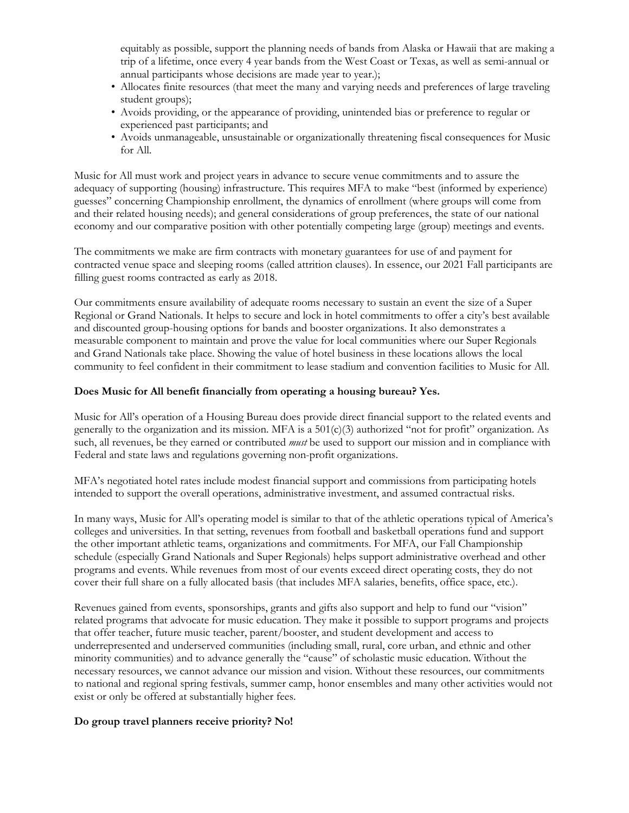equitably as possible, support the planning needs of bands from Alaska or Hawaii that are making a trip of a lifetime, once every 4 year bands from the West Coast or Texas, as well as semi-annual or annual participants whose decisions are made year to year.);

- Allocates finite resources (that meet the many and varying needs and preferences of large traveling student groups);
- Avoids providing, or the appearance of providing, unintended bias or preference to regular or experienced past participants; and
- Avoids unmanageable, unsustainable or organizationally threatening fiscal consequences for Music for All.

Music for All must work and project years in advance to secure venue commitments and to assure the adequacy of supporting (housing) infrastructure. This requires MFA to make "best (informed by experience) guesses" concerning Championship enrollment, the dynamics of enrollment (where groups will come from and their related housing needs); and general considerations of group preferences, the state of our national economy and our comparative position with other potentially competing large (group) meetings and events.

The commitments we make are firm contracts with monetary guarantees for use of and payment for contracted venue space and sleeping rooms (called attrition clauses). In essence, our 2021 Fall participants are filling guest rooms contracted as early as 2018.

Our commitments ensure availability of adequate rooms necessary to sustain an event the size of a Super Regional or Grand Nationals. It helps to secure and lock in hotel commitments to offer a city's best available and discounted group-housing options for bands and booster organizations. It also demonstrates a measurable component to maintain and prove the value for local communities where our Super Regionals and Grand Nationals take place. Showing the value of hotel business in these locations allows the local community to feel confident in their commitment to lease stadium and convention facilities to Music for All.

#### **Does Music for All benefit financially from operating a housing bureau? Yes.**

Music for All's operation of a Housing Bureau does provide direct financial support to the related events and generally to the organization and its mission. MFA is a  $501(c)(3)$  authorized "not for profit" organization. As such, all revenues, be they earned or contributed *must* be used to support our mission and in compliance with Federal and state laws and regulations governing non-profit organizations.

MFA's negotiated hotel rates include modest financial support and commissions from participating hotels intended to support the overall operations, administrative investment, and assumed contractual risks.

In many ways, Music for All's operating model is similar to that of the athletic operations typical of America's colleges and universities. In that setting, revenues from football and basketball operations fund and support the other important athletic teams, organizations and commitments. For MFA, our Fall Championship schedule (especially Grand Nationals and Super Regionals) helps support administrative overhead and other programs and events. While revenues from most of our events exceed direct operating costs, they do not cover their full share on a fully allocated basis (that includes MFA salaries, benefits, office space, etc.).

Revenues gained from events, sponsorships, grants and gifts also support and help to fund our "vision" related programs that advocate for music education. They make it possible to support programs and projects that offer teacher, future music teacher, parent/booster, and student development and access to underrepresented and underserved communities (including small, rural, core urban, and ethnic and other minority communities) and to advance generally the "cause" of scholastic music education. Without the necessary resources, we cannot advance our mission and vision. Without these resources, our commitments to national and regional spring festivals, summer camp, honor ensembles and many other activities would not exist or only be offered at substantially higher fees.

### **Do group travel planners receive priority? No!**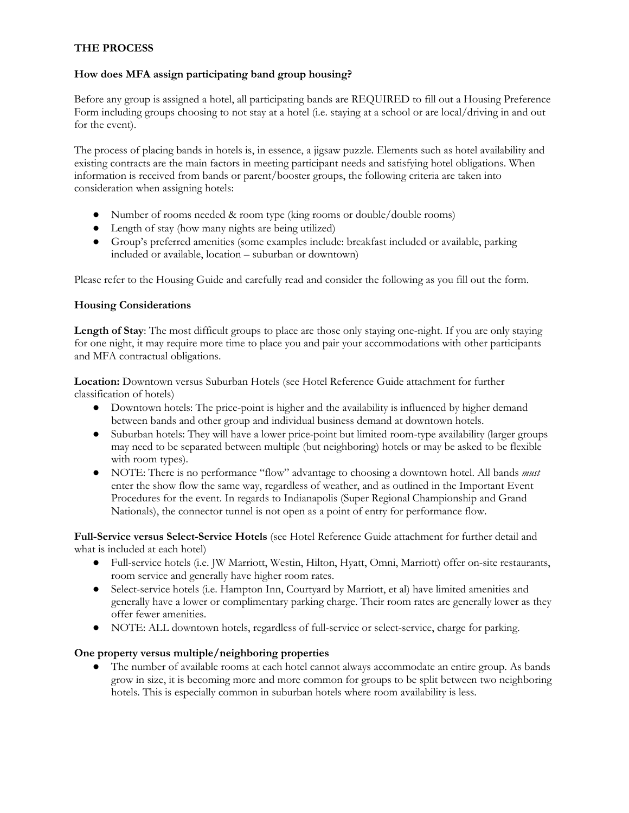## **THE PROCESS**

### **How does MFA assign participating band group housing?**

Before any group is assigned a hotel, all participating bands are REQUIRED to fill out a Housing Preference Form including groups choosing to not stay at a hotel (i.e. staying at a school or are local/driving in and out for the event).

The process of placing bands in hotels is, in essence, a jigsaw puzzle. Elements such as hotel availability and existing contracts are the main factors in meeting participant needs and satisfying hotel obligations. When information is received from bands or parent/booster groups, the following criteria are taken into consideration when assigning hotels:

- Number of rooms needed & room type (king rooms or double/double rooms)
- Length of stay (how many nights are being utilized)
- Group's preferred amenities (some examples include: breakfast included or available, parking included or available, location – suburban or downtown)

Please refer to the Housing Guide and carefully read and consider the following as you fill out the form.

### **Housing Considerations**

**Length of Stay**: The most difficult groups to place are those only staying one-night. If you are only staying for one night, it may require more time to place you and pair your accommodations with other participants and MFA contractual obligations.

**Location:** Downtown versus Suburban Hotels (see Hotel Reference Guide attachment for further classification of hotels)

- Downtown hotels: The price-point is higher and the availability is influenced by higher demand between bands and other group and individual business demand at downtown hotels.
- Suburban hotels: They will have a lower price-point but limited room-type availability (larger groups may need to be separated between multiple (but neighboring) hotels or may be asked to be flexible with room types).
- NOTE: There is no performance "flow" advantage to choosing a downtown hotel. All bands *must* enter the show flow the same way, regardless of weather, and as outlined in the Important Event Procedures for the event. In regards to Indianapolis (Super Regional Championship and Grand Nationals), the connector tunnel is not open as a point of entry for performance flow.

**Full-Service versus Select-Service Hotels** (see Hotel Reference Guide attachment for further detail and what is included at each hotel)

- Full-service hotels (i.e. JW Marriott, Westin, Hilton, Hyatt, Omni, Marriott) offer on-site restaurants, room service and generally have higher room rates.
- Select-service hotels (i.e. Hampton Inn, Courtyard by Marriott, et al) have limited amenities and generally have a lower or complimentary parking charge. Their room rates are generally lower as they offer fewer amenities.
- NOTE: ALL downtown hotels, regardless of full-service or select-service, charge for parking.

### **One property versus multiple/neighboring properties**

• The number of available rooms at each hotel cannot always accommodate an entire group. As bands grow in size, it is becoming more and more common for groups to be split between two neighboring hotels. This is especially common in suburban hotels where room availability is less.